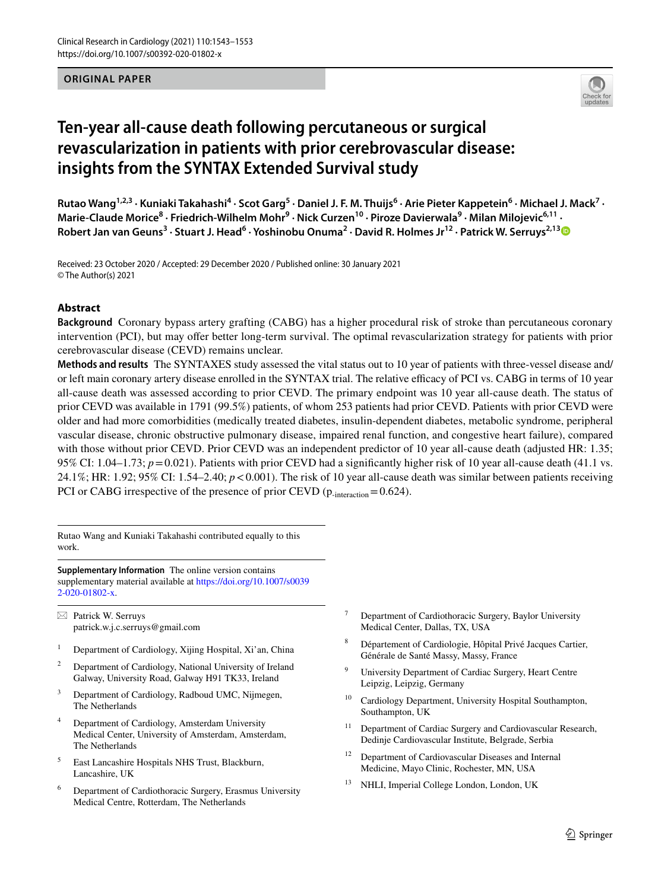### **ORIGINAL PAPER**



# **Ten‑year all‑cause death following percutaneous or surgical revascularization in patients with prior cerebrovascular disease: insights from the SYNTAX Extended Survival study**

Rutao Wang<sup>1,2,3</sup> · Kuniaki Takahashi<sup>4</sup> · Scot Garg<sup>5</sup> · Daniel J. F. M. Thuijs<sup>6</sup> · Arie Pieter Kappetein<sup>6</sup> · Michael J. Mack<sup>7</sup> · Marie-Claude Morice<sup>8</sup> · Friedrich-Wilhelm Mohr<sup>9</sup> · Nick Curzen<sup>10</sup> · Piroze Davierwala<sup>9</sup> · Milan Milojevic<sup>6,11</sup> · Robert Jan van Geuns<sup>[3](http://orcid.org/0000-0002-9636-1104)</sup> · Stuart J. Head<sup>6</sup> · Yoshinobu Onuma<sup>2</sup> · David R. Holmes Jr<sup>12</sup> · Patrick W. Serruys<sup>2,13</sup>

Received: 23 October 2020 / Accepted: 29 December 2020 / Published online: 30 January 2021 © The Author(s) 2021

### **Abstract**

**Background** Coronary bypass artery grafting (CABG) has a higher procedural risk of stroke than percutaneous coronary intervention (PCI), but may ofer better long-term survival. The optimal revascularization strategy for patients with prior cerebrovascular disease (CEVD) remains unclear.

**Methods and results** The SYNTAXES study assessed the vital status out to 10 year of patients with three-vessel disease and/ or left main coronary artery disease enrolled in the SYNTAX trial. The relative efficacy of PCI vs. CABG in terms of 10 year all-cause death was assessed according to prior CEVD. The primary endpoint was 10 year all-cause death. The status of prior CEVD was available in 1791 (99.5%) patients, of whom 253 patients had prior CEVD. Patients with prior CEVD were older and had more comorbidities (medically treated diabetes, insulin-dependent diabetes, metabolic syndrome, peripheral vascular disease, chronic obstructive pulmonary disease, impaired renal function, and congestive heart failure), compared with those without prior CEVD. Prior CEVD was an independent predictor of 10 year all-cause death (adjusted HR: 1.35; 95% CI: 1.04–1.73;  $p = 0.021$ ). Patients with prior CEVD had a significantly higher risk of 10 year all-cause death (41.1 vs. 24.1%; HR: 1.92; 95% CI: 1.54–2.40; *p*<0.001). The risk of 10 year all-cause death was similar between patients receiving PCI or CABG irrespective of the presence of prior CEVD ( $p_{\text{-interaction}} = 0.624$ ).

Rutao Wang and Kuniaki Takahashi contributed equally to this work.

**Supplementary Information** The online version contains supplementary material available at [https://doi.org/10.1007/s0039](https://doi.org/10.1007/s00392-020-01802-x) [2-020-01802-x](https://doi.org/10.1007/s00392-020-01802-x).

 $\boxtimes$  Patrick W. Serruys patrick.w.j.c.serruys@gmail.com

- <sup>1</sup> Department of Cardiology, Xijing Hospital, Xi'an, China
- <sup>2</sup> Department of Cardiology, National University of Ireland Galway, University Road, Galway H91 TK33, Ireland
- <sup>3</sup> Department of Cardiology, Radboud UMC, Nijmegen, The Netherlands
- Department of Cardiology, Amsterdam University Medical Center, University of Amsterdam, Amsterdam, The Netherlands
- <sup>5</sup> East Lancashire Hospitals NHS Trust, Blackburn, Lancashire, UK
- <sup>6</sup> Department of Cardiothoracic Surgery, Erasmus University Medical Centre, Rotterdam, The Netherlands
- Department of Cardiothoracic Surgery, Baylor University Medical Center, Dallas, TX, USA
- <sup>8</sup> Département of Cardiologie, Hôpital Privé Jacques Cartier, Générale de Santé Massy, Massy, France
- University Department of Cardiac Surgery, Heart Centre Leipzig, Leipzig, Germany
- <sup>10</sup> Cardiology Department, University Hospital Southampton, Southampton, UK
- <sup>11</sup> Department of Cardiac Surgery and Cardiovascular Research, Dedinje Cardiovascular Institute, Belgrade, Serbia
- <sup>12</sup> Department of Cardiovascular Diseases and Internal Medicine, Mayo Clinic, Rochester, MN, USA
- <sup>13</sup> NHLI, Imperial College London, London, UK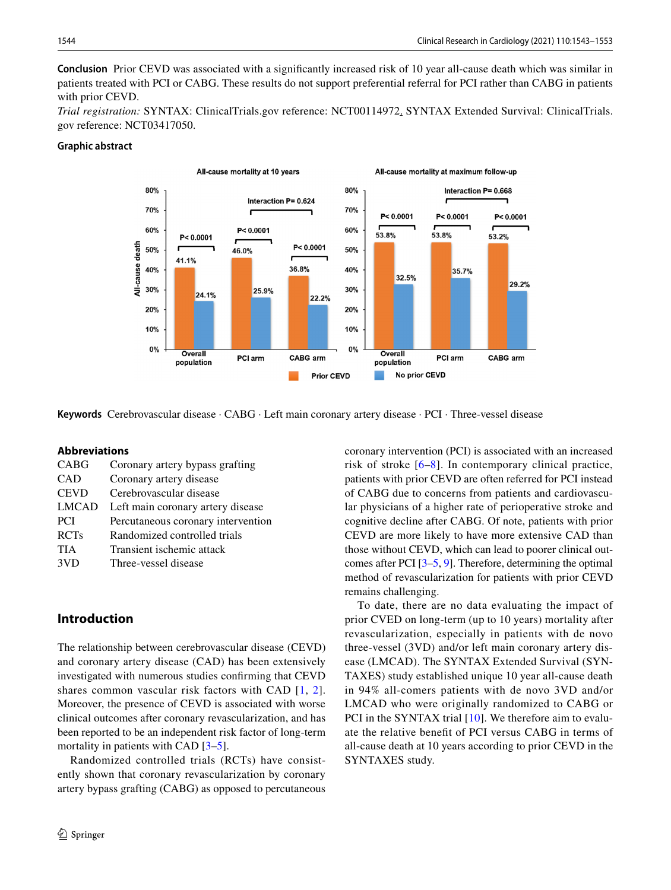**Conclusion** Prior CEVD was associated with a signifcantly increased risk of 10 year all-cause death which was similar in patients treated with PCI or CABG. These results do not support preferential referral for PCI rather than CABG in patients with prior CEVD.

*Trial registration:* SYNTAX: ClinicalTrials.gov reference: NCT00114972. SYNTAX Extended Survival: ClinicalTrials. gov reference: NCT03417050.

# **Graphic abstract**



**Keywords** Cerebrovascular disease · CABG · Left main coronary artery disease · PCI · Three-vessel disease

### **Abbreviations**

| <b>CABG</b>  | Coronary artery bypass grafting    |
|--------------|------------------------------------|
| <b>CAD</b>   | Coronary artery disease            |
| <b>CEVD</b>  | Cerebrovascular disease            |
| <b>LMCAD</b> | Left main coronary artery disease  |
| <b>PCI</b>   | Percutaneous coronary intervention |
| <b>RCTs</b>  | Randomized controlled trials       |
| <b>TIA</b>   | Transient ischemic attack          |
| 3VD          | Three-vessel disease               |
|              |                                    |

# **Introduction**

The relationship between cerebrovascular disease (CEVD) and coronary artery disease (CAD) has been extensively investigated with numerous studies confrming that CEVD shares common vascular risk factors with CAD [[1](#page-9-0), [2](#page-9-1)]. Moreover, the presence of CEVD is associated with worse clinical outcomes after coronary revascularization, and has been reported to be an independent risk factor of long-term mortality in patients with CAD  $[3-5]$  $[3-5]$ .

Randomized controlled trials (RCTs) have consistently shown that coronary revascularization by coronary artery bypass grafting (CABG) as opposed to percutaneous

coronary intervention (PCI) is associated with an increased risk of stroke [[6–](#page-9-4)[8\]](#page-9-5). In contemporary clinical practice, patients with prior CEVD are often referred for PCI instead of CABG due to concerns from patients and cardiovascular physicians of a higher rate of perioperative stroke and cognitive decline after CABG. Of note, patients with prior CEVD are more likely to have more extensive CAD than those without CEVD, which can lead to poorer clinical outcomes after PCI [[3](#page-9-2)[–5](#page-9-3), [9\]](#page-9-6). Therefore, determining the optimal method of revascularization for patients with prior CEVD remains challenging.

To date, there are no data evaluating the impact of prior CVED on long-term (up to 10 years) mortality after revascularization, especially in patients with de novo three-vessel (3VD) and/or left main coronary artery disease (LMCAD). The SYNTAX Extended Survival (SYN-TAXES) study established unique 10 year all-cause death in 94% all-comers patients with de novo 3VD and/or LMCAD who were originally randomized to CABG or PCI in the SYNTAX trial [\[10](#page-9-7)]. We therefore aim to evaluate the relative beneft of PCI versus CABG in terms of all-cause death at 10 years according to prior CEVD in the SYNTAXES study.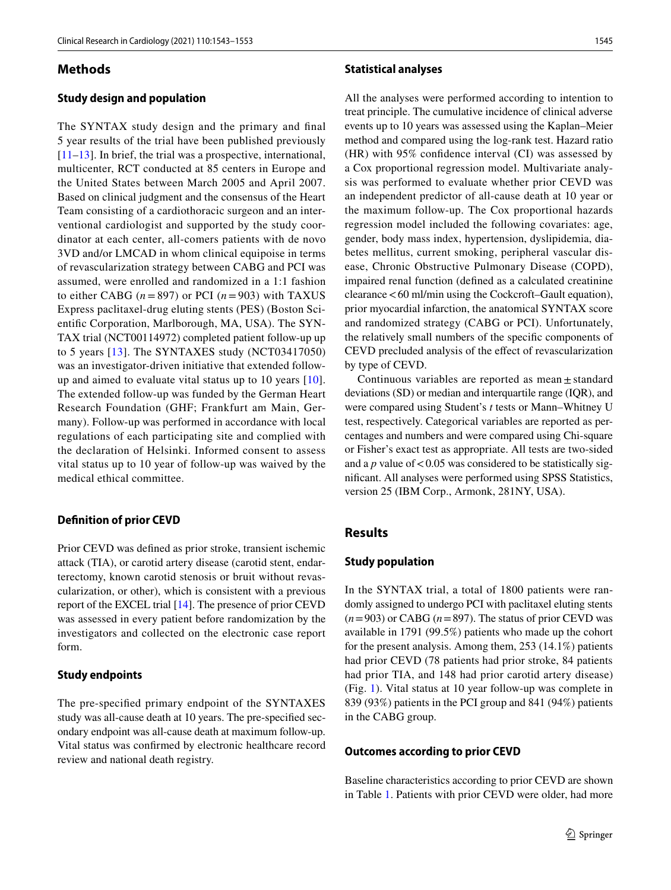### **Methods**

# **Study design and population**

The SYNTAX study design and the primary and fnal 5 year results of the trial have been published previously [\[11–](#page-9-8)[13\]](#page-10-0). In brief, the trial was a prospective, international, multicenter, RCT conducted at 85 centers in Europe and the United States between March 2005 and April 2007. Based on clinical judgment and the consensus of the Heart Team consisting of a cardiothoracic surgeon and an interventional cardiologist and supported by the study coordinator at each center, all-comers patients with de novo 3VD and/or LMCAD in whom clinical equipoise in terms of revascularization strategy between CABG and PCI was assumed, were enrolled and randomized in a 1:1 fashion to either CABG  $(n = 897)$  or PCI  $(n = 903)$  with TAXUS Express paclitaxel-drug eluting stents (PES) (Boston Scientifc Corporation, Marlborough, MA, USA). The SYN-TAX trial (NCT00114972) completed patient follow-up up to 5 years [[13](#page-10-0)]. The SYNTAXES study (NCT03417050) was an investigator-driven initiative that extended followup and aimed to evaluate vital status up to 10 years [[10](#page-9-7)]. The extended follow-up was funded by the German Heart Research Foundation (GHF; Frankfurt am Main, Germany). Follow-up was performed in accordance with local regulations of each participating site and complied with the declaration of Helsinki. Informed consent to assess vital status up to 10 year of follow-up was waived by the medical ethical committee.

### **Defnition of prior CEVD**

Prior CEVD was defned as prior stroke, transient ischemic attack (TIA), or carotid artery disease (carotid stent, endarterectomy, known carotid stenosis or bruit without revascularization, or other), which is consistent with a previous report of the EXCEL trial [\[14](#page-10-1)]. The presence of prior CEVD was assessed in every patient before randomization by the investigators and collected on the electronic case report form.

### **Study endpoints**

The pre-specifed primary endpoint of the SYNTAXES study was all-cause death at 10 years. The pre-specifed secondary endpoint was all-cause death at maximum follow-up. Vital status was confrmed by electronic healthcare record review and national death registry.

#### **Statistical analyses**

All the analyses were performed according to intention to treat principle. The cumulative incidence of clinical adverse events up to 10 years was assessed using the Kaplan–Meier method and compared using the log-rank test. Hazard ratio (HR) with 95% confdence interval (CI) was assessed by a Cox proportional regression model. Multivariate analysis was performed to evaluate whether prior CEVD was an independent predictor of all-cause death at 10 year or the maximum follow-up. The Cox proportional hazards regression model included the following covariates: age, gender, body mass index, hypertension, dyslipidemia, diabetes mellitus, current smoking, peripheral vascular disease, Chronic Obstructive Pulmonary Disease (COPD), impaired renal function (defned as a calculated creatinine clearance<60 ml/min using the Cockcroft–Gault equation), prior myocardial infarction, the anatomical SYNTAX score and randomized strategy (CABG or PCI). Unfortunately, the relatively small numbers of the specifc components of CEVD precluded analysis of the efect of revascularization by type of CEVD.

Continuous variables are reported as mean $\pm$  standard deviations (SD) or median and interquartile range (IQR), and were compared using Student's *t* tests or Mann–Whitney U test, respectively. Categorical variables are reported as percentages and numbers and were compared using Chi-square or Fisher's exact test as appropriate. All tests are two-sided and a  $p$  value of  $< 0.05$  was considered to be statistically signifcant. All analyses were performed using SPSS Statistics, version 25 (IBM Corp., Armonk, 281NY, USA).

# **Results**

#### **Study population**

In the SYNTAX trial, a total of 1800 patients were randomly assigned to undergo PCI with paclitaxel eluting stents  $(n=903)$  or CABG  $(n=897)$ . The status of prior CEVD was available in 1791 (99.5%) patients who made up the cohort for the present analysis. Among them, 253 (14.1%) patients had prior CEVD (78 patients had prior stroke, 84 patients had prior TIA, and 148 had prior carotid artery disease) (Fig. [1\)](#page-3-0). Vital status at 10 year follow-up was complete in 839 (93%) patients in the PCI group and 841 (94%) patients in the CABG group.

#### **Outcomes according to prior CEVD**

Baseline characteristics according to prior CEVD are shown in Table [1.](#page-4-0) Patients with prior CEVD were older, had more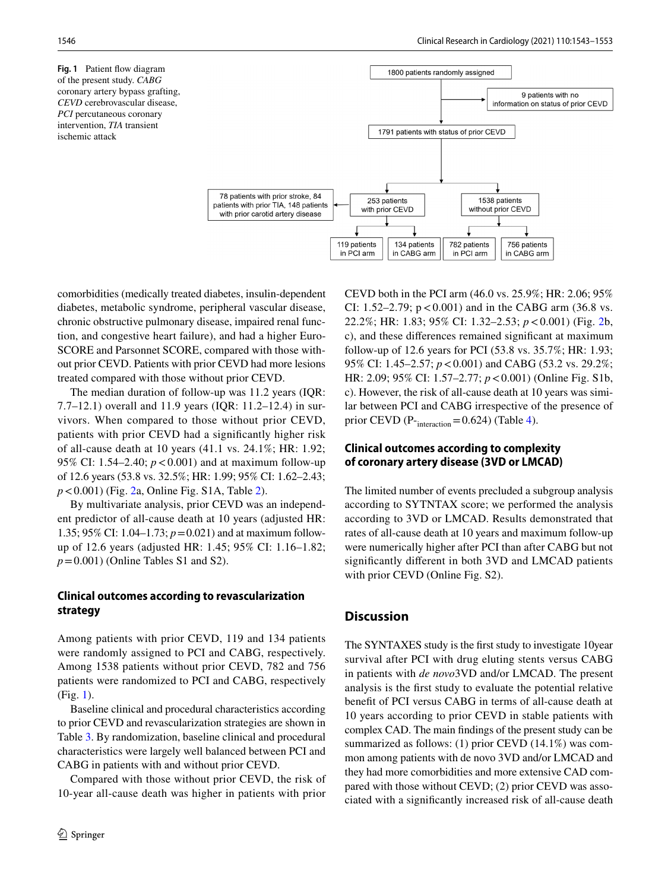<span id="page-3-0"></span>**Fig. 1** Patient flow diagram of the present study. *CABG* coronary artery bypass grafting, *CEVD* cerebrovascular disease, *PCI* percutaneous coronary intervention, *TIA* transient ischemic attack



comorbidities (medically treated diabetes, insulin-dependent diabetes, metabolic syndrome, peripheral vascular disease, chronic obstructive pulmonary disease, impaired renal function, and congestive heart failure), and had a higher Euro-SCORE and Parsonnet SCORE, compared with those without prior CEVD. Patients with prior CEVD had more lesions treated compared with those without prior CEVD.

The median duration of follow-up was 11.2 years (IQR: 7.7–12.1) overall and 11.9 years (IQR: 11.2–12.4) in survivors. When compared to those without prior CEVD, patients with prior CEVD had a signifcantly higher risk of all-cause death at 10 years (41.1 vs. 24.1%; HR: 1.92; 95% CI: 1.54–2.40; *p*<0.001) and at maximum follow-up of 12.6 years (53.8 vs. 32.5%; HR: 1.99; 95% CI: 1.62–2.43; *p*<0.001) (Fig. [2](#page-5-0)a, Online Fig. S1A, Table [2\)](#page-6-0).

By multivariate analysis, prior CEVD was an independent predictor of all-cause death at 10 years (adjusted HR: 1.35; 95% CI: 1.04–1.73; *p*=0.021) and at maximum followup of 12.6 years (adjusted HR: 1.45; 95% CI: 1.16–1.82;  $p = 0.001$ ) (Online Tables S1 and S2).

# **Clinical outcomes according to revascularization strategy**

Among patients with prior CEVD, 119 and 134 patients were randomly assigned to PCI and CABG, respectively. Among 1538 patients without prior CEVD, 782 and 756 patients were randomized to PCI and CABG, respectively (Fig. [1\)](#page-3-0).

Baseline clinical and procedural characteristics according to prior CEVD and revascularization strategies are shown in Table [3.](#page-7-0) By randomization, baseline clinical and procedural characteristics were largely well balanced between PCI and CABG in patients with and without prior CEVD.

Compared with those without prior CEVD, the risk of 10-year all-cause death was higher in patients with prior CEVD both in the PCI arm (46.0 vs. 25.9%; HR: 2.06; 95% CI: 1.52–2.79;  $p < 0.001$ ) and in the CABG arm (36.8 vs. 22.2%; HR: 1.83; 95% CI: 1.32–2.53; *p*<0.001) (Fig. [2b](#page-5-0), c), and these diferences remained signifcant at maximum follow-up of 12.6 years for PCI (53.8 vs. 35.7%; HR: 1.93; 95% CI: 1.45–2.57; *p*<0.001) and CABG (53.2 vs. 29.2%; HR: 2.09; 95% CI: 1.57–2.77; *p*<0.001) (Online Fig. S1b, c). However, the risk of all-cause death at 10 years was similar between PCI and CABG irrespective of the presence of prior CEVD ( $P_{interaction} = 0.624$ ) (Table [4](#page-8-0)).

# **Clinical outcomes according to complexity of coronary artery disease (3VD or LMCAD)**

The limited number of events precluded a subgroup analysis according to SYTNTAX score; we performed the analysis according to 3VD or LMCAD. Results demonstrated that rates of all-cause death at 10 years and maximum follow-up were numerically higher after PCI than after CABG but not signifcantly diferent in both 3VD and LMCAD patients with prior CEVD (Online Fig. S2).

# **Discussion**

The SYNTAXES study is the frst study to investigate 10year survival after PCI with drug eluting stents versus CABG in patients with *de novo*3VD and/or LMCAD. The present analysis is the frst study to evaluate the potential relative beneft of PCI versus CABG in terms of all-cause death at 10 years according to prior CEVD in stable patients with complex CAD. The main fndings of the present study can be summarized as follows: (1) prior CEVD (14.1%) was common among patients with de novo 3VD and/or LMCAD and they had more comorbidities and more extensive CAD compared with those without CEVD; (2) prior CEVD was associated with a signifcantly increased risk of all-cause death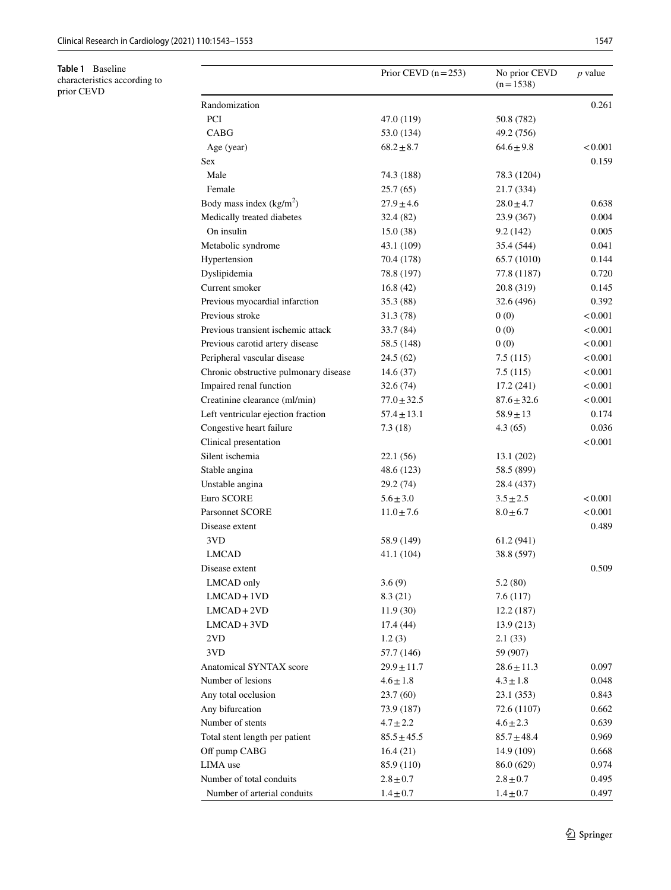<span id="page-4-0"></span>**Table 1** Baseline characteristics according to prior CEVD

|                                       | Prior CEVD $(n=253)$ | No prior CEVD<br>$(n=1538)$ | <i>p</i> value |
|---------------------------------------|----------------------|-----------------------------|----------------|
| Randomization                         |                      |                             | 0.261          |
| <b>PCI</b>                            | 47.0 (119)           | 50.8 (782)                  |                |
| <b>CABG</b>                           | 53.0 (134)           | 49.2 (756)                  |                |
| Age (year)                            | $68.2 \pm 8.7$       | $64.6 \pm 9.8$              | < 0.001        |
| Sex                                   |                      |                             | 0.159          |
| Male                                  | 74.3 (188)           | 78.3 (1204)                 |                |
| Female                                | 25.7(65)             | 21.7 (334)                  |                |
| Body mass index $(kg/m2)$             | $27.9 \pm 4.6$       | $28.0 \pm 4.7$              | 0.638          |
| Medically treated diabetes            | 32.4 (82)            | 23.9 (367)                  | 0.004          |
| On insulin                            | 15.0(38)             | 9.2(142)                    | 0.005          |
| Metabolic syndrome                    | 43.1 (109)           | 35.4 (544)                  | 0.041          |
| Hypertension                          | 70.4 (178)           | 65.7 (1010)                 | 0.144          |
| Dyslipidemia                          | 78.8 (197)           | 77.8 (1187)                 | 0.720          |
| Current smoker                        | 16.8(42)             | 20.8 (319)                  | 0.145          |
| Previous myocardial infarction        | 35.3 (88)            | 32.6 (496)                  | 0.392          |
| Previous stroke                       | 31.3 (78)            | 0(0)                        | < 0.001        |
| Previous transient ischemic attack    | 33.7 (84)            | 0(0)                        | < 0.001        |
| Previous carotid artery disease       | 58.5 (148)           | 0(0)                        | < 0.001        |
| Peripheral vascular disease           | 24.5 (62)            | 7.5(115)                    | < 0.001        |
| Chronic obstructive pulmonary disease | 14.6(37)             | 7.5(115)                    | < 0.001        |
| Impaired renal function               | 32.6(74)             | 17.2(241)                   | < 0.001        |
| Creatinine clearance (ml/min)         | $77.0 \pm 32.5$      | $87.6 \pm 32.6$             | < 0.001        |
| Left ventricular ejection fraction    | $57.4 \pm 13.1$      | $58.9 \pm 13$               | 0.174          |
| Congestive heart failure              | 7.3(18)              | 4.3(65)                     | 0.036          |
| Clinical presentation                 |                      |                             | < 0.001        |
| Silent ischemia                       | 22.1(56)             | 13.1 (202)                  |                |
| Stable angina                         | 48.6 (123)           | 58.5 (899)                  |                |
| Unstable angina                       | 29.2 (74)            | 28.4 (437)                  |                |
| Euro SCORE                            | $5.6 \pm 3.0$        | $3.5 \pm 2.5$               | < 0.001        |
| <b>Parsonnet SCORE</b>                | $11.0 \pm 7.6$       | $8.0 \pm 6.7$               | < 0.001        |
| Disease extent                        |                      |                             | 0.489          |
| 3VD                                   | 58.9 (149)           | 61.2 (941)                  |                |
| <b>LMCAD</b>                          | 41.1 (104)           | 38.8 (597)                  |                |
| Disease extent                        |                      |                             | 0.509          |
| LMCAD only                            | 3.6(9)               | 5.2(80)                     |                |
| $LMCAD+1VD$                           | 8.3(21)              | 7.6(117)                    |                |
| $LMCAD+2VD$                           | 11.9(30)             | 12.2(187)                   |                |
| $LMCAD+3VD$                           | 17.4 (44)            | 13.9 (213)                  |                |
| 2VD                                   | 1.2(3)               | 2.1(33)                     |                |
| 3VD                                   | 57.7 (146)           | 59 (907)                    |                |
| <b>Anatomical SYNTAX score</b>        | $29.9 \pm 11.7$      | $28.6 \pm 11.3$             | 0.097          |
| Number of lesions                     | $4.6 \pm 1.8$        | $4.3 \pm 1.8$               | 0.048          |
| Any total occlusion                   | 23.7(60)             | 23.1(353)                   | 0.843          |
| Any bifurcation                       | 73.9 (187)           | 72.6 (1107)                 | 0.662          |
| Number of stents                      | $4.7 \pm 2.2$        | $4.6 \pm 2.3$               | 0.639          |
| Total stent length per patient        | $85.5 \pm 45.5$      | $85.7 \pm 48.4$             | 0.969          |
| Off pump CABG                         | 16.4(21)             | 14.9 (109)                  | 0.668          |
| LIMA use                              | 85.9 (110)           | 86.0 (629)                  | 0.974          |
| Number of total conduits              | $2.8 \pm 0.7$        | $2.8 \pm 0.7$               | 0.495          |
| Number of arterial conduits           | $1.4 \pm 0.7$        | $1.4 \pm 0.7$               | 0.497          |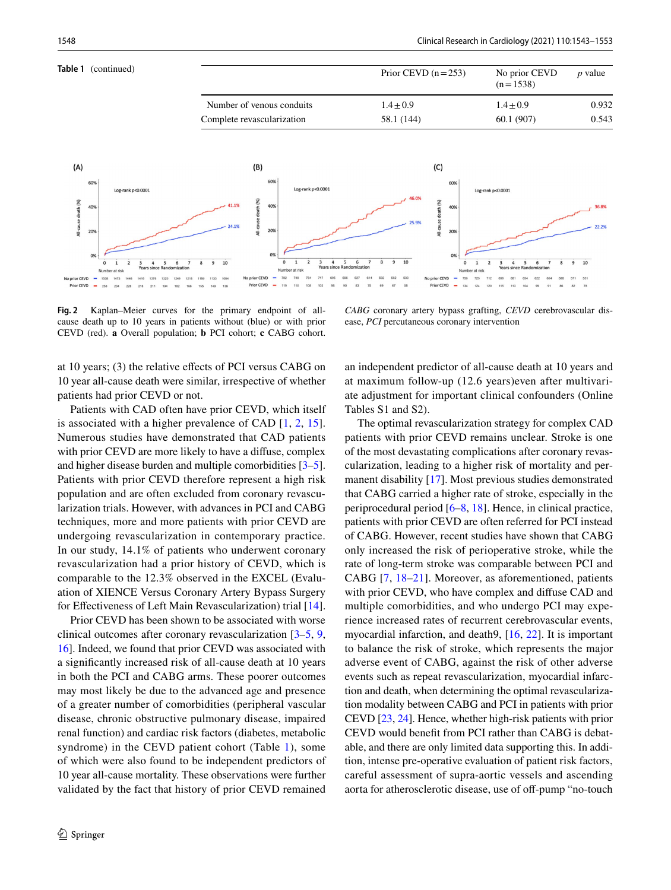

<span id="page-5-0"></span>**Fig. 2** Kaplan–Meier curves for the primary endpoint of allcause death up to 10 years in patients without (blue) or with prior CEVD (red). **a** Overall population; **b** PCI cohort; **c** CABG cohort.

*CABG* coronary artery bypass grafting, *CEVD* cerebrovascular disease, *PCI* percutaneous coronary intervention

at 10 years; (3) the relative efects of PCI versus CABG on 10 year all-cause death were similar, irrespective of whether patients had prior CEVD or not.

Patients with CAD often have prior CEVD, which itself is associated with a higher prevalence of CAD [\[1,](#page-9-0) [2](#page-9-1), [15](#page-10-2)]. Numerous studies have demonstrated that CAD patients with prior CEVD are more likely to have a difuse, complex and higher disease burden and multiple comorbidities [\[3](#page-9-2)[–5](#page-9-3)]. Patients with prior CEVD therefore represent a high risk population and are often excluded from coronary revascularization trials. However, with advances in PCI and CABG techniques, more and more patients with prior CEVD are undergoing revascularization in contemporary practice. In our study, 14.1% of patients who underwent coronary revascularization had a prior history of CEVD, which is comparable to the 12.3% observed in the EXCEL (Evaluation of XIENCE Versus Coronary Artery Bypass Surgery for Efectiveness of Left Main Revascularization) trial [\[14](#page-10-1)].

Prior CEVD has been shown to be associated with worse clinical outcomes after coronary revascularization [\[3](#page-9-2)[–5](#page-9-3), [9,](#page-9-6) [16](#page-10-3)]. Indeed, we found that prior CEVD was associated with a signifcantly increased risk of all-cause death at 10 years in both the PCI and CABG arms. These poorer outcomes may most likely be due to the advanced age and presence of a greater number of comorbidities (peripheral vascular disease, chronic obstructive pulmonary disease, impaired renal function) and cardiac risk factors (diabetes, metabolic syndrome) in the CEVD patient cohort (Table [1\)](#page-4-0), some of which were also found to be independent predictors of 10 year all-cause mortality. These observations were further validated by the fact that history of prior CEVD remained an independent predictor of all-cause death at 10 years and at maximum follow-up (12.6 years)even after multivariate adjustment for important clinical confounders (Online Tables S1 and S2).

The optimal revascularization strategy for complex CAD patients with prior CEVD remains unclear. Stroke is one of the most devastating complications after coronary revascularization, leading to a higher risk of mortality and permanent disability [[17\]](#page-10-4). Most previous studies demonstrated that CABG carried a higher rate of stroke, especially in the periprocedural period [[6–](#page-9-4)[8](#page-9-5), [18\]](#page-10-5). Hence, in clinical practice, patients with prior CEVD are often referred for PCI instead of CABG. However, recent studies have shown that CABG only increased the risk of perioperative stroke, while the rate of long-term stroke was comparable between PCI and CABG [[7,](#page-9-9) [18–](#page-10-5)[21\]](#page-10-6). Moreover, as aforementioned, patients with prior CEVD, who have complex and difuse CAD and multiple comorbidities, and who undergo PCI may experience increased rates of recurrent cerebrovascular events, myocardial infarction, and death9, [[16,](#page-10-3) [22](#page-10-7)]. It is important to balance the risk of stroke, which represents the major adverse event of CABG, against the risk of other adverse events such as repeat revascularization, myocardial infarction and death, when determining the optimal revascularization modality between CABG and PCI in patients with prior CEVD [[23](#page-10-8), [24\]](#page-10-9). Hence, whether high-risk patients with prior CEVD would beneft from PCI rather than CABG is debatable, and there are only limited data supporting this. In addition, intense pre-operative evaluation of patient risk factors, careful assessment of supra-aortic vessels and ascending aorta for atherosclerotic disease, use of off-pump "no-touch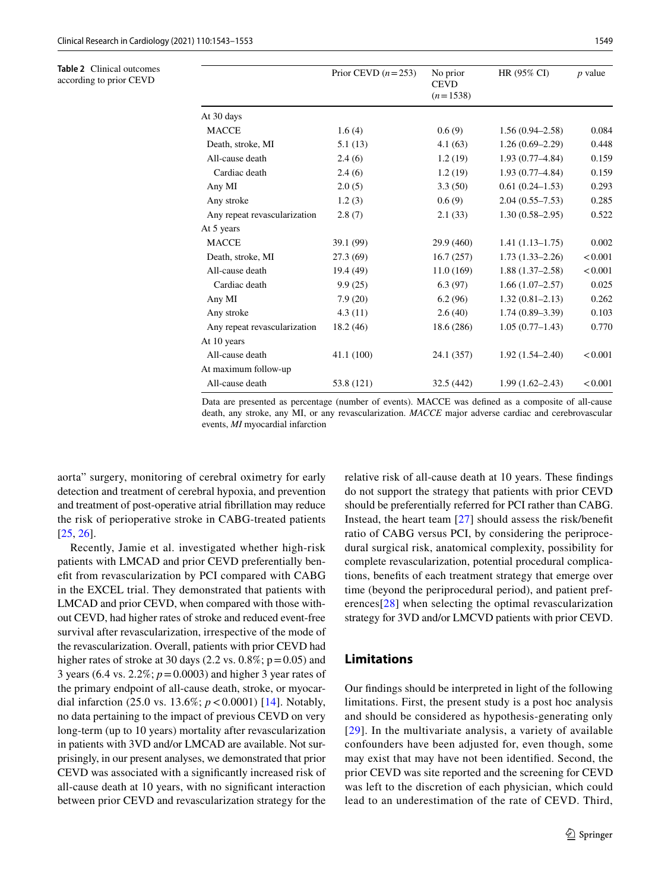<span id="page-6-0"></span>**Table 2** Clinical outcomes according to prior CEVD

|                              | Prior CEVD $(n=253)$ | No prior<br><b>CEVD</b><br>$(n=1538)$ | HR (95% CI)         | <i>p</i> value |
|------------------------------|----------------------|---------------------------------------|---------------------|----------------|
| At 30 days                   |                      |                                       |                     |                |
| <b>MACCE</b>                 | 1.6(4)               | 0.6(9)                                | $1.56(0.94 - 2.58)$ | 0.084          |
| Death, stroke, MI            | 5.1(13)              | 4.1(63)                               | $1.26(0.69-2.29)$   | 0.448          |
| All-cause death              | 2.4(6)               | 1.2(19)                               | $1.93(0.77 - 4.84)$ | 0.159          |
| Cardiac death                | 2.4(6)               | 1.2(19)                               | $1.93(0.77 - 4.84)$ | 0.159          |
| Any MI                       | 2.0(5)               | 3.3(50)                               | $0.61(0.24 - 1.53)$ | 0.293          |
| Any stroke                   | 1.2(3)               | 0.6(9)                                | $2.04(0.55 - 7.53)$ | 0.285          |
| Any repeat revascularization | 2.8(7)               | 2.1(33)                               | $1.30(0.58 - 2.95)$ | 0.522          |
| At 5 years                   |                      |                                       |                     |                |
| <b>MACCE</b>                 | 39.1 (99)            | 29.9 (460)                            | $1.41(1.13 - 1.75)$ | 0.002          |
| Death, stroke, MI            | 27.3(69)             | 16.7(257)                             | $1.73(1.33 - 2.26)$ | < 0.001        |
| All-cause death              | 19.4 (49)            | 11.0(169)                             | $1.88(1.37-2.58)$   | < 0.001        |
| Cardiac death                | 9.9(25)              | 6.3(97)                               | $1.66(1.07-2.57)$   | 0.025          |
| Any MI                       | 7.9(20)              | 6.2(96)                               | $1.32(0.81 - 2.13)$ | 0.262          |
| Any stroke                   | 4.3(11)              | 2.6(40)                               | $1.74(0.89 - 3.39)$ | 0.103          |
| Any repeat revascularization | 18.2 (46)            | 18.6 (286)                            | $1.05(0.77-1.43)$   | 0.770          |
| At 10 years                  |                      |                                       |                     |                |
| All-cause death              | 41.1(100)            | 24.1 (357)                            | $1.92(1.54 - 2.40)$ | < 0.001        |
| At maximum follow-up         |                      |                                       |                     |                |
| All-cause death              | 53.8 (121)           | 32.5(442)                             | $1.99(1.62 - 2.43)$ | < 0.001        |

Data are presented as percentage (number of events). MACCE was defned as a composite of all-cause death, any stroke, any MI, or any revascularization. *MACCE* major adverse cardiac and cerebrovascular events, *MI* myocardial infarction

aorta" surgery, monitoring of cerebral oximetry for early detection and treatment of cerebral hypoxia, and prevention and treatment of post-operative atrial fbrillation may reduce the risk of perioperative stroke in CABG-treated patients [\[25,](#page-10-10) [26\]](#page-10-11).

Recently, Jamie et al. investigated whether high-risk patients with LMCAD and prior CEVD preferentially beneft from revascularization by PCI compared with CABG in the EXCEL trial. They demonstrated that patients with LMCAD and prior CEVD, when compared with those without CEVD, had higher rates of stroke and reduced event-free survival after revascularization, irrespective of the mode of the revascularization. Overall, patients with prior CEVD had higher rates of stroke at 30 days (2.2 vs.  $0.8\%$ ; p=0.05) and 3 years (6.4 vs. 2.2%; *p*=0.0003) and higher 3 year rates of the primary endpoint of all-cause death, stroke, or myocardial infarction (25.0 vs. 13.6%; *p*<0.0001) [\[14](#page-10-1)]. Notably, no data pertaining to the impact of previous CEVD on very long-term (up to 10 years) mortality after revascularization in patients with 3VD and/or LMCAD are available. Not surprisingly, in our present analyses, we demonstrated that prior CEVD was associated with a signifcantly increased risk of all-cause death at 10 years, with no signifcant interaction between prior CEVD and revascularization strategy for the relative risk of all-cause death at 10 years. These fndings do not support the strategy that patients with prior CEVD should be preferentially referred for PCI rather than CABG. Instead, the heart team [[27](#page-10-12)] should assess the risk/beneft ratio of CABG versus PCI, by considering the periprocedural surgical risk, anatomical complexity, possibility for complete revascularization, potential procedural complications, benefts of each treatment strategy that emerge over time (beyond the periprocedural period), and patient preferences[[28](#page-10-13)] when selecting the optimal revascularization strategy for 3VD and/or LMCVD patients with prior CEVD.

# **Limitations**

Our fndings should be interpreted in light of the following limitations. First, the present study is a post hoc analysis and should be considered as hypothesis-generating only [[29](#page-10-14)]. In the multivariate analysis, a variety of available confounders have been adjusted for, even though, some may exist that may have not been identifed. Second, the prior CEVD was site reported and the screening for CEVD was left to the discretion of each physician, which could lead to an underestimation of the rate of CEVD. Third,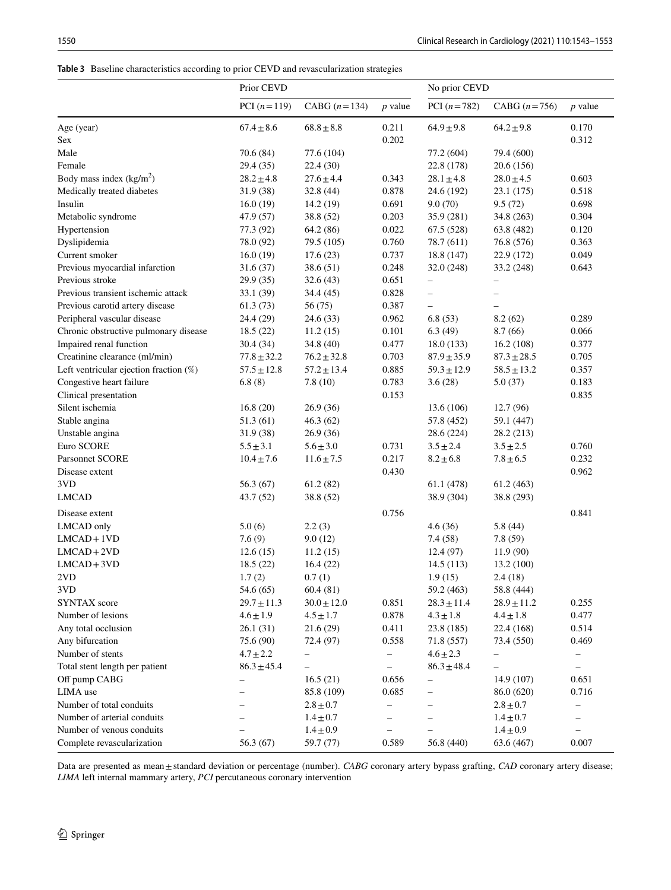### <span id="page-7-0"></span>**Table 3** Baseline characteristics according to prior CEVD and revascularization strategies

| PCI $(n=119)$<br>CABG $(n=134)$<br>$p$ value<br>PCI $(n=782)$<br>CABG $(n=756)$<br>$p$ value<br>Age (year)<br>$67.4 \pm 8.6$<br>$68.8 \pm 8.8$<br>0.211<br>$64.9 \pm 9.8$<br>$64.2 \pm 9.8$<br>0.170<br>0.202<br>0.312<br>Male<br>70.6 (84)<br>77.6 (104)<br>77.2 (604)<br>79.4 (600)<br>22.8 (178)<br>29.4 (35)<br>22.4 (30)<br>20.6(156)<br>$28.2 \pm 4.8$<br>$27.6 \pm 4.4$<br>0.343<br>$28.1 \pm 4.8$<br>$28.0 \pm 4.5$<br>0.603<br>0.878<br>0.518<br>31.9 (38)<br>32.8 (44)<br>24.6 (192)<br>23.1 (175)<br>0.691<br>9.5(72)<br>0.698<br>16.0(19)<br>14.2 (19)<br>9.0(70)<br>Metabolic syndrome<br>47.9 (57)<br>38.8 (52)<br>0.203<br>35.9 (281)<br>34.8 (263)<br>0.304<br>0.022<br>0.120<br>Hypertension<br>77.3 (92)<br>64.2 (86)<br>67.5 (528)<br>63.8 (482)<br>0.760<br>0.363<br>Dyslipidemia<br>78.0 (92)<br>79.5 (105)<br>78.7 (611)<br>76.8 (576)<br>0.737<br>0.049<br>Current smoker<br>16.0(19)<br>17.6(23)<br>18.8 (147)<br>22.9 (172)<br>Previous myocardial infarction<br>38.6(51)<br>0.248<br>32.0 (248)<br>33.2 (248)<br>0.643<br>31.6(37)<br>Previous stroke<br>0.651<br>29.9 (35)<br>32.6(43)<br>$\overline{\phantom{0}}$<br>$\overline{\phantom{0}}$<br>Previous transient ischemic attack<br>0.828<br>33.1 (39)<br>34.4 (45)<br>$\overline{\phantom{0}}$<br>$\overline{\phantom{0}}$<br>Previous carotid artery disease<br>0.387<br>61.3(73)<br>56 (75)<br>$\overline{\phantom{0}}$<br>Peripheral vascular disease<br>0.962<br>6.8(53)<br>8.2(62)<br>0.289<br>24.4 (29)<br>24.6(33)<br>Chronic obstructive pulmonary disease<br>18.5 (22)<br>11.2(15)<br>0.101<br>6.3(49)<br>8.7(66)<br>0.066<br>Impaired renal function<br>0.477<br>0.377<br>30.4(34)<br>34.8 (40)<br>18.0(133)<br>16.2(108)<br>0.703<br>0.705<br>Creatinine clearance (ml/min)<br>$77.8 \pm 32.2$<br>$76.2 \pm 32.8$<br>$87.9 \pm 35.9$<br>$87.3 \pm 28.5$<br>0.885<br>0.357<br>Left ventricular ejection fraction $(\%)$<br>$57.5 \pm 12.8$<br>$57.2 \pm 13.4$<br>$59.3 \pm 12.9$<br>$58.5 \pm 13.2$<br>Congestive heart failure<br>0.783<br>0.183<br>6.8(8)<br>7.8(10)<br>3.6(28)<br>5.0(37)<br>Clinical presentation<br>0.153<br>0.835<br>Silent ischemia<br>16.8(20)<br>26.9(36)<br>13.6 (106)<br>12.7 (96)<br>Stable angina<br>51.3 (61)<br>46.3(62)<br>57.8 (452)<br>59.1 (447)<br>Unstable angina<br>31.9 (38)<br>26.9(36)<br>28.6 (224)<br>28.2 (213)<br>Euro SCORE<br>0.731<br>0.760<br>$5.5 \pm 3.1$<br>$5.6 \pm 3.0$<br>$3.5 \pm 2.4$<br>$3.5 \pm 2.5$<br>Parsonnet SCORE<br>0.217<br>0.232<br>$10.4 \pm 7.6$<br>$11.6 \pm 7.5$<br>$8.2 \pm 6.8$<br>$7.8 \pm 6.5$<br>0.430<br>0.962<br>Disease extent<br>3VD<br>56.3 (67)<br>61.2(82)<br>61.1 (478)<br>61.2 (463)<br><b>LMCAD</b><br>38.9 (304)<br>43.7 (52)<br>38.8 (52)<br>38.8 (293)<br>0.756<br>0.841<br>Disease extent<br>5.0(6)<br>5.8(44)<br>2.2(3)<br>4.6(36)<br>7.6(9)<br>9.0(12)<br>7.4(58)<br>7.8(59)<br>12.4(97)<br>11.9(90)<br>12.6(15)<br>11.2(15)<br>18.5(22)<br>16.4(22)<br>14.5(113)<br>13.2(100)<br>1.7(2)<br>1.9(15)<br>0.7(1)<br>2.4(18)<br>60.4(81)<br>3VD<br>54.6 (65)<br>59.2 (463)<br>58.8 (444)<br>$29.7 \pm 11.3$<br>$30.0 \pm 12.0$<br>0.851<br>$28.3 \pm 11.4$<br>$28.9 \pm 11.2$<br>0.255<br>$4.6 \pm 1.9$<br>$4.5 \pm 1.7$<br>0.878<br>$4.3 \pm 1.8$<br>$4.4 \pm 1.8$<br>0.477<br>0.514<br>26.1(31)<br>21.6(29)<br>0.411<br>23.8 (185)<br>22.4 (168)<br>Any bifurcation<br>75.6 (90)<br>72.4 (97)<br>0.558<br>73.4 (550)<br>0.469<br>71.8 (557)<br>$4.7 \pm 2.2$<br>$4.6 \pm 2.3$<br>-<br>-<br>-<br>-<br>Total stent length per patient<br>$86.3 \pm 48.4$<br>$86.3 \pm 45.4$<br>$\overline{\phantom{0}}$<br>$\qquad \qquad -$<br>$\qquad \qquad -$<br>$\overline{\phantom{0}}$<br>Off pump CABG<br>16.5(21)<br>0.656<br>14.9 (107)<br>0.651<br>-<br>$\overline{\phantom{0}}$<br>0.716<br>85.8 (109)<br>0.685<br>86.0 (620)<br>$\overline{\phantom{0}}$<br>$\overline{\phantom{0}}$<br>$2.8 \pm 0.7$<br>$2.8 \pm 0.7$<br>$\overline{\phantom{0}}$<br>-<br>-<br>Number of arterial conduits<br>$1.4 \pm 0.7$<br>$1.4 \pm 0.7$<br>$\overline{\phantom{0}}$<br>- |                            | Prior CEVD |               |  | No prior CEVD |               |  |  |
|------------------------------------------------------------------------------------------------------------------------------------------------------------------------------------------------------------------------------------------------------------------------------------------------------------------------------------------------------------------------------------------------------------------------------------------------------------------------------------------------------------------------------------------------------------------------------------------------------------------------------------------------------------------------------------------------------------------------------------------------------------------------------------------------------------------------------------------------------------------------------------------------------------------------------------------------------------------------------------------------------------------------------------------------------------------------------------------------------------------------------------------------------------------------------------------------------------------------------------------------------------------------------------------------------------------------------------------------------------------------------------------------------------------------------------------------------------------------------------------------------------------------------------------------------------------------------------------------------------------------------------------------------------------------------------------------------------------------------------------------------------------------------------------------------------------------------------------------------------------------------------------------------------------------------------------------------------------------------------------------------------------------------------------------------------------------------------------------------------------------------------------------------------------------------------------------------------------------------------------------------------------------------------------------------------------------------------------------------------------------------------------------------------------------------------------------------------------------------------------------------------------------------------------------------------------------------------------------------------------------------------------------------------------------------------------------------------------------------------------------------------------------------------------------------------------------------------------------------------------------------------------------------------------------------------------------------------------------------------------------------------------------------------------------------------------------------------------------------------------------------------------------------------------------------------------------------------------------------------------------------------------------------------------------------------------------------------------------------------------------------------------------------------------------------------------------------------------------------------------------------------------------------------------------------------------------------------------------------------------------------------------------------------------------------------------------------------------------------------------------------------------------------------------------------------------------------------------------------------------------------------------------------------------------------------------------------------------------------------------------------------------------------------------------|----------------------------|------------|---------------|--|---------------|---------------|--|--|
|                                                                                                                                                                                                                                                                                                                                                                                                                                                                                                                                                                                                                                                                                                                                                                                                                                                                                                                                                                                                                                                                                                                                                                                                                                                                                                                                                                                                                                                                                                                                                                                                                                                                                                                                                                                                                                                                                                                                                                                                                                                                                                                                                                                                                                                                                                                                                                                                                                                                                                                                                                                                                                                                                                                                                                                                                                                                                                                                                                                                                                                                                                                                                                                                                                                                                                                                                                                                                                                                                                                                                                                                                                                                                                                                                                                                                                                                                                                                                                                                                                                |                            |            |               |  |               |               |  |  |
|                                                                                                                                                                                                                                                                                                                                                                                                                                                                                                                                                                                                                                                                                                                                                                                                                                                                                                                                                                                                                                                                                                                                                                                                                                                                                                                                                                                                                                                                                                                                                                                                                                                                                                                                                                                                                                                                                                                                                                                                                                                                                                                                                                                                                                                                                                                                                                                                                                                                                                                                                                                                                                                                                                                                                                                                                                                                                                                                                                                                                                                                                                                                                                                                                                                                                                                                                                                                                                                                                                                                                                                                                                                                                                                                                                                                                                                                                                                                                                                                                                                |                            |            |               |  |               |               |  |  |
|                                                                                                                                                                                                                                                                                                                                                                                                                                                                                                                                                                                                                                                                                                                                                                                                                                                                                                                                                                                                                                                                                                                                                                                                                                                                                                                                                                                                                                                                                                                                                                                                                                                                                                                                                                                                                                                                                                                                                                                                                                                                                                                                                                                                                                                                                                                                                                                                                                                                                                                                                                                                                                                                                                                                                                                                                                                                                                                                                                                                                                                                                                                                                                                                                                                                                                                                                                                                                                                                                                                                                                                                                                                                                                                                                                                                                                                                                                                                                                                                                                                | Sex                        |            |               |  |               |               |  |  |
|                                                                                                                                                                                                                                                                                                                                                                                                                                                                                                                                                                                                                                                                                                                                                                                                                                                                                                                                                                                                                                                                                                                                                                                                                                                                                                                                                                                                                                                                                                                                                                                                                                                                                                                                                                                                                                                                                                                                                                                                                                                                                                                                                                                                                                                                                                                                                                                                                                                                                                                                                                                                                                                                                                                                                                                                                                                                                                                                                                                                                                                                                                                                                                                                                                                                                                                                                                                                                                                                                                                                                                                                                                                                                                                                                                                                                                                                                                                                                                                                                                                |                            |            |               |  |               |               |  |  |
|                                                                                                                                                                                                                                                                                                                                                                                                                                                                                                                                                                                                                                                                                                                                                                                                                                                                                                                                                                                                                                                                                                                                                                                                                                                                                                                                                                                                                                                                                                                                                                                                                                                                                                                                                                                                                                                                                                                                                                                                                                                                                                                                                                                                                                                                                                                                                                                                                                                                                                                                                                                                                                                                                                                                                                                                                                                                                                                                                                                                                                                                                                                                                                                                                                                                                                                                                                                                                                                                                                                                                                                                                                                                                                                                                                                                                                                                                                                                                                                                                                                | Female                     |            |               |  |               |               |  |  |
|                                                                                                                                                                                                                                                                                                                                                                                                                                                                                                                                                                                                                                                                                                                                                                                                                                                                                                                                                                                                                                                                                                                                                                                                                                                                                                                                                                                                                                                                                                                                                                                                                                                                                                                                                                                                                                                                                                                                                                                                                                                                                                                                                                                                                                                                                                                                                                                                                                                                                                                                                                                                                                                                                                                                                                                                                                                                                                                                                                                                                                                                                                                                                                                                                                                                                                                                                                                                                                                                                                                                                                                                                                                                                                                                                                                                                                                                                                                                                                                                                                                | Body mass index $(kg/m2)$  |            |               |  |               |               |  |  |
|                                                                                                                                                                                                                                                                                                                                                                                                                                                                                                                                                                                                                                                                                                                                                                                                                                                                                                                                                                                                                                                                                                                                                                                                                                                                                                                                                                                                                                                                                                                                                                                                                                                                                                                                                                                                                                                                                                                                                                                                                                                                                                                                                                                                                                                                                                                                                                                                                                                                                                                                                                                                                                                                                                                                                                                                                                                                                                                                                                                                                                                                                                                                                                                                                                                                                                                                                                                                                                                                                                                                                                                                                                                                                                                                                                                                                                                                                                                                                                                                                                                | Medically treated diabetes |            |               |  |               |               |  |  |
|                                                                                                                                                                                                                                                                                                                                                                                                                                                                                                                                                                                                                                                                                                                                                                                                                                                                                                                                                                                                                                                                                                                                                                                                                                                                                                                                                                                                                                                                                                                                                                                                                                                                                                                                                                                                                                                                                                                                                                                                                                                                                                                                                                                                                                                                                                                                                                                                                                                                                                                                                                                                                                                                                                                                                                                                                                                                                                                                                                                                                                                                                                                                                                                                                                                                                                                                                                                                                                                                                                                                                                                                                                                                                                                                                                                                                                                                                                                                                                                                                                                | Insulin                    |            |               |  |               |               |  |  |
|                                                                                                                                                                                                                                                                                                                                                                                                                                                                                                                                                                                                                                                                                                                                                                                                                                                                                                                                                                                                                                                                                                                                                                                                                                                                                                                                                                                                                                                                                                                                                                                                                                                                                                                                                                                                                                                                                                                                                                                                                                                                                                                                                                                                                                                                                                                                                                                                                                                                                                                                                                                                                                                                                                                                                                                                                                                                                                                                                                                                                                                                                                                                                                                                                                                                                                                                                                                                                                                                                                                                                                                                                                                                                                                                                                                                                                                                                                                                                                                                                                                |                            |            |               |  |               |               |  |  |
|                                                                                                                                                                                                                                                                                                                                                                                                                                                                                                                                                                                                                                                                                                                                                                                                                                                                                                                                                                                                                                                                                                                                                                                                                                                                                                                                                                                                                                                                                                                                                                                                                                                                                                                                                                                                                                                                                                                                                                                                                                                                                                                                                                                                                                                                                                                                                                                                                                                                                                                                                                                                                                                                                                                                                                                                                                                                                                                                                                                                                                                                                                                                                                                                                                                                                                                                                                                                                                                                                                                                                                                                                                                                                                                                                                                                                                                                                                                                                                                                                                                |                            |            |               |  |               |               |  |  |
|                                                                                                                                                                                                                                                                                                                                                                                                                                                                                                                                                                                                                                                                                                                                                                                                                                                                                                                                                                                                                                                                                                                                                                                                                                                                                                                                                                                                                                                                                                                                                                                                                                                                                                                                                                                                                                                                                                                                                                                                                                                                                                                                                                                                                                                                                                                                                                                                                                                                                                                                                                                                                                                                                                                                                                                                                                                                                                                                                                                                                                                                                                                                                                                                                                                                                                                                                                                                                                                                                                                                                                                                                                                                                                                                                                                                                                                                                                                                                                                                                                                |                            |            |               |  |               |               |  |  |
|                                                                                                                                                                                                                                                                                                                                                                                                                                                                                                                                                                                                                                                                                                                                                                                                                                                                                                                                                                                                                                                                                                                                                                                                                                                                                                                                                                                                                                                                                                                                                                                                                                                                                                                                                                                                                                                                                                                                                                                                                                                                                                                                                                                                                                                                                                                                                                                                                                                                                                                                                                                                                                                                                                                                                                                                                                                                                                                                                                                                                                                                                                                                                                                                                                                                                                                                                                                                                                                                                                                                                                                                                                                                                                                                                                                                                                                                                                                                                                                                                                                |                            |            |               |  |               |               |  |  |
|                                                                                                                                                                                                                                                                                                                                                                                                                                                                                                                                                                                                                                                                                                                                                                                                                                                                                                                                                                                                                                                                                                                                                                                                                                                                                                                                                                                                                                                                                                                                                                                                                                                                                                                                                                                                                                                                                                                                                                                                                                                                                                                                                                                                                                                                                                                                                                                                                                                                                                                                                                                                                                                                                                                                                                                                                                                                                                                                                                                                                                                                                                                                                                                                                                                                                                                                                                                                                                                                                                                                                                                                                                                                                                                                                                                                                                                                                                                                                                                                                                                |                            |            |               |  |               |               |  |  |
|                                                                                                                                                                                                                                                                                                                                                                                                                                                                                                                                                                                                                                                                                                                                                                                                                                                                                                                                                                                                                                                                                                                                                                                                                                                                                                                                                                                                                                                                                                                                                                                                                                                                                                                                                                                                                                                                                                                                                                                                                                                                                                                                                                                                                                                                                                                                                                                                                                                                                                                                                                                                                                                                                                                                                                                                                                                                                                                                                                                                                                                                                                                                                                                                                                                                                                                                                                                                                                                                                                                                                                                                                                                                                                                                                                                                                                                                                                                                                                                                                                                |                            |            |               |  |               |               |  |  |
|                                                                                                                                                                                                                                                                                                                                                                                                                                                                                                                                                                                                                                                                                                                                                                                                                                                                                                                                                                                                                                                                                                                                                                                                                                                                                                                                                                                                                                                                                                                                                                                                                                                                                                                                                                                                                                                                                                                                                                                                                                                                                                                                                                                                                                                                                                                                                                                                                                                                                                                                                                                                                                                                                                                                                                                                                                                                                                                                                                                                                                                                                                                                                                                                                                                                                                                                                                                                                                                                                                                                                                                                                                                                                                                                                                                                                                                                                                                                                                                                                                                |                            |            |               |  |               |               |  |  |
|                                                                                                                                                                                                                                                                                                                                                                                                                                                                                                                                                                                                                                                                                                                                                                                                                                                                                                                                                                                                                                                                                                                                                                                                                                                                                                                                                                                                                                                                                                                                                                                                                                                                                                                                                                                                                                                                                                                                                                                                                                                                                                                                                                                                                                                                                                                                                                                                                                                                                                                                                                                                                                                                                                                                                                                                                                                                                                                                                                                                                                                                                                                                                                                                                                                                                                                                                                                                                                                                                                                                                                                                                                                                                                                                                                                                                                                                                                                                                                                                                                                |                            |            |               |  |               |               |  |  |
|                                                                                                                                                                                                                                                                                                                                                                                                                                                                                                                                                                                                                                                                                                                                                                                                                                                                                                                                                                                                                                                                                                                                                                                                                                                                                                                                                                                                                                                                                                                                                                                                                                                                                                                                                                                                                                                                                                                                                                                                                                                                                                                                                                                                                                                                                                                                                                                                                                                                                                                                                                                                                                                                                                                                                                                                                                                                                                                                                                                                                                                                                                                                                                                                                                                                                                                                                                                                                                                                                                                                                                                                                                                                                                                                                                                                                                                                                                                                                                                                                                                |                            |            |               |  |               |               |  |  |
|                                                                                                                                                                                                                                                                                                                                                                                                                                                                                                                                                                                                                                                                                                                                                                                                                                                                                                                                                                                                                                                                                                                                                                                                                                                                                                                                                                                                                                                                                                                                                                                                                                                                                                                                                                                                                                                                                                                                                                                                                                                                                                                                                                                                                                                                                                                                                                                                                                                                                                                                                                                                                                                                                                                                                                                                                                                                                                                                                                                                                                                                                                                                                                                                                                                                                                                                                                                                                                                                                                                                                                                                                                                                                                                                                                                                                                                                                                                                                                                                                                                |                            |            |               |  |               |               |  |  |
|                                                                                                                                                                                                                                                                                                                                                                                                                                                                                                                                                                                                                                                                                                                                                                                                                                                                                                                                                                                                                                                                                                                                                                                                                                                                                                                                                                                                                                                                                                                                                                                                                                                                                                                                                                                                                                                                                                                                                                                                                                                                                                                                                                                                                                                                                                                                                                                                                                                                                                                                                                                                                                                                                                                                                                                                                                                                                                                                                                                                                                                                                                                                                                                                                                                                                                                                                                                                                                                                                                                                                                                                                                                                                                                                                                                                                                                                                                                                                                                                                                                |                            |            |               |  |               |               |  |  |
|                                                                                                                                                                                                                                                                                                                                                                                                                                                                                                                                                                                                                                                                                                                                                                                                                                                                                                                                                                                                                                                                                                                                                                                                                                                                                                                                                                                                                                                                                                                                                                                                                                                                                                                                                                                                                                                                                                                                                                                                                                                                                                                                                                                                                                                                                                                                                                                                                                                                                                                                                                                                                                                                                                                                                                                                                                                                                                                                                                                                                                                                                                                                                                                                                                                                                                                                                                                                                                                                                                                                                                                                                                                                                                                                                                                                                                                                                                                                                                                                                                                |                            |            |               |  |               |               |  |  |
|                                                                                                                                                                                                                                                                                                                                                                                                                                                                                                                                                                                                                                                                                                                                                                                                                                                                                                                                                                                                                                                                                                                                                                                                                                                                                                                                                                                                                                                                                                                                                                                                                                                                                                                                                                                                                                                                                                                                                                                                                                                                                                                                                                                                                                                                                                                                                                                                                                                                                                                                                                                                                                                                                                                                                                                                                                                                                                                                                                                                                                                                                                                                                                                                                                                                                                                                                                                                                                                                                                                                                                                                                                                                                                                                                                                                                                                                                                                                                                                                                                                |                            |            |               |  |               |               |  |  |
|                                                                                                                                                                                                                                                                                                                                                                                                                                                                                                                                                                                                                                                                                                                                                                                                                                                                                                                                                                                                                                                                                                                                                                                                                                                                                                                                                                                                                                                                                                                                                                                                                                                                                                                                                                                                                                                                                                                                                                                                                                                                                                                                                                                                                                                                                                                                                                                                                                                                                                                                                                                                                                                                                                                                                                                                                                                                                                                                                                                                                                                                                                                                                                                                                                                                                                                                                                                                                                                                                                                                                                                                                                                                                                                                                                                                                                                                                                                                                                                                                                                |                            |            |               |  |               |               |  |  |
|                                                                                                                                                                                                                                                                                                                                                                                                                                                                                                                                                                                                                                                                                                                                                                                                                                                                                                                                                                                                                                                                                                                                                                                                                                                                                                                                                                                                                                                                                                                                                                                                                                                                                                                                                                                                                                                                                                                                                                                                                                                                                                                                                                                                                                                                                                                                                                                                                                                                                                                                                                                                                                                                                                                                                                                                                                                                                                                                                                                                                                                                                                                                                                                                                                                                                                                                                                                                                                                                                                                                                                                                                                                                                                                                                                                                                                                                                                                                                                                                                                                |                            |            |               |  |               |               |  |  |
|                                                                                                                                                                                                                                                                                                                                                                                                                                                                                                                                                                                                                                                                                                                                                                                                                                                                                                                                                                                                                                                                                                                                                                                                                                                                                                                                                                                                                                                                                                                                                                                                                                                                                                                                                                                                                                                                                                                                                                                                                                                                                                                                                                                                                                                                                                                                                                                                                                                                                                                                                                                                                                                                                                                                                                                                                                                                                                                                                                                                                                                                                                                                                                                                                                                                                                                                                                                                                                                                                                                                                                                                                                                                                                                                                                                                                                                                                                                                                                                                                                                |                            |            |               |  |               |               |  |  |
|                                                                                                                                                                                                                                                                                                                                                                                                                                                                                                                                                                                                                                                                                                                                                                                                                                                                                                                                                                                                                                                                                                                                                                                                                                                                                                                                                                                                                                                                                                                                                                                                                                                                                                                                                                                                                                                                                                                                                                                                                                                                                                                                                                                                                                                                                                                                                                                                                                                                                                                                                                                                                                                                                                                                                                                                                                                                                                                                                                                                                                                                                                                                                                                                                                                                                                                                                                                                                                                                                                                                                                                                                                                                                                                                                                                                                                                                                                                                                                                                                                                |                            |            |               |  |               |               |  |  |
|                                                                                                                                                                                                                                                                                                                                                                                                                                                                                                                                                                                                                                                                                                                                                                                                                                                                                                                                                                                                                                                                                                                                                                                                                                                                                                                                                                                                                                                                                                                                                                                                                                                                                                                                                                                                                                                                                                                                                                                                                                                                                                                                                                                                                                                                                                                                                                                                                                                                                                                                                                                                                                                                                                                                                                                                                                                                                                                                                                                                                                                                                                                                                                                                                                                                                                                                                                                                                                                                                                                                                                                                                                                                                                                                                                                                                                                                                                                                                                                                                                                |                            |            |               |  |               |               |  |  |
|                                                                                                                                                                                                                                                                                                                                                                                                                                                                                                                                                                                                                                                                                                                                                                                                                                                                                                                                                                                                                                                                                                                                                                                                                                                                                                                                                                                                                                                                                                                                                                                                                                                                                                                                                                                                                                                                                                                                                                                                                                                                                                                                                                                                                                                                                                                                                                                                                                                                                                                                                                                                                                                                                                                                                                                                                                                                                                                                                                                                                                                                                                                                                                                                                                                                                                                                                                                                                                                                                                                                                                                                                                                                                                                                                                                                                                                                                                                                                                                                                                                |                            |            |               |  |               |               |  |  |
|                                                                                                                                                                                                                                                                                                                                                                                                                                                                                                                                                                                                                                                                                                                                                                                                                                                                                                                                                                                                                                                                                                                                                                                                                                                                                                                                                                                                                                                                                                                                                                                                                                                                                                                                                                                                                                                                                                                                                                                                                                                                                                                                                                                                                                                                                                                                                                                                                                                                                                                                                                                                                                                                                                                                                                                                                                                                                                                                                                                                                                                                                                                                                                                                                                                                                                                                                                                                                                                                                                                                                                                                                                                                                                                                                                                                                                                                                                                                                                                                                                                |                            |            |               |  |               |               |  |  |
|                                                                                                                                                                                                                                                                                                                                                                                                                                                                                                                                                                                                                                                                                                                                                                                                                                                                                                                                                                                                                                                                                                                                                                                                                                                                                                                                                                                                                                                                                                                                                                                                                                                                                                                                                                                                                                                                                                                                                                                                                                                                                                                                                                                                                                                                                                                                                                                                                                                                                                                                                                                                                                                                                                                                                                                                                                                                                                                                                                                                                                                                                                                                                                                                                                                                                                                                                                                                                                                                                                                                                                                                                                                                                                                                                                                                                                                                                                                                                                                                                                                |                            |            |               |  |               |               |  |  |
|                                                                                                                                                                                                                                                                                                                                                                                                                                                                                                                                                                                                                                                                                                                                                                                                                                                                                                                                                                                                                                                                                                                                                                                                                                                                                                                                                                                                                                                                                                                                                                                                                                                                                                                                                                                                                                                                                                                                                                                                                                                                                                                                                                                                                                                                                                                                                                                                                                                                                                                                                                                                                                                                                                                                                                                                                                                                                                                                                                                                                                                                                                                                                                                                                                                                                                                                                                                                                                                                                                                                                                                                                                                                                                                                                                                                                                                                                                                                                                                                                                                |                            |            |               |  |               |               |  |  |
|                                                                                                                                                                                                                                                                                                                                                                                                                                                                                                                                                                                                                                                                                                                                                                                                                                                                                                                                                                                                                                                                                                                                                                                                                                                                                                                                                                                                                                                                                                                                                                                                                                                                                                                                                                                                                                                                                                                                                                                                                                                                                                                                                                                                                                                                                                                                                                                                                                                                                                                                                                                                                                                                                                                                                                                                                                                                                                                                                                                                                                                                                                                                                                                                                                                                                                                                                                                                                                                                                                                                                                                                                                                                                                                                                                                                                                                                                                                                                                                                                                                |                            |            |               |  |               |               |  |  |
|                                                                                                                                                                                                                                                                                                                                                                                                                                                                                                                                                                                                                                                                                                                                                                                                                                                                                                                                                                                                                                                                                                                                                                                                                                                                                                                                                                                                                                                                                                                                                                                                                                                                                                                                                                                                                                                                                                                                                                                                                                                                                                                                                                                                                                                                                                                                                                                                                                                                                                                                                                                                                                                                                                                                                                                                                                                                                                                                                                                                                                                                                                                                                                                                                                                                                                                                                                                                                                                                                                                                                                                                                                                                                                                                                                                                                                                                                                                                                                                                                                                |                            |            |               |  |               |               |  |  |
|                                                                                                                                                                                                                                                                                                                                                                                                                                                                                                                                                                                                                                                                                                                                                                                                                                                                                                                                                                                                                                                                                                                                                                                                                                                                                                                                                                                                                                                                                                                                                                                                                                                                                                                                                                                                                                                                                                                                                                                                                                                                                                                                                                                                                                                                                                                                                                                                                                                                                                                                                                                                                                                                                                                                                                                                                                                                                                                                                                                                                                                                                                                                                                                                                                                                                                                                                                                                                                                                                                                                                                                                                                                                                                                                                                                                                                                                                                                                                                                                                                                |                            |            |               |  |               |               |  |  |
|                                                                                                                                                                                                                                                                                                                                                                                                                                                                                                                                                                                                                                                                                                                                                                                                                                                                                                                                                                                                                                                                                                                                                                                                                                                                                                                                                                                                                                                                                                                                                                                                                                                                                                                                                                                                                                                                                                                                                                                                                                                                                                                                                                                                                                                                                                                                                                                                                                                                                                                                                                                                                                                                                                                                                                                                                                                                                                                                                                                                                                                                                                                                                                                                                                                                                                                                                                                                                                                                                                                                                                                                                                                                                                                                                                                                                                                                                                                                                                                                                                                | LMCAD only                 |            |               |  |               |               |  |  |
|                                                                                                                                                                                                                                                                                                                                                                                                                                                                                                                                                                                                                                                                                                                                                                                                                                                                                                                                                                                                                                                                                                                                                                                                                                                                                                                                                                                                                                                                                                                                                                                                                                                                                                                                                                                                                                                                                                                                                                                                                                                                                                                                                                                                                                                                                                                                                                                                                                                                                                                                                                                                                                                                                                                                                                                                                                                                                                                                                                                                                                                                                                                                                                                                                                                                                                                                                                                                                                                                                                                                                                                                                                                                                                                                                                                                                                                                                                                                                                                                                                                | $LMCAD+1VD$                |            |               |  |               |               |  |  |
|                                                                                                                                                                                                                                                                                                                                                                                                                                                                                                                                                                                                                                                                                                                                                                                                                                                                                                                                                                                                                                                                                                                                                                                                                                                                                                                                                                                                                                                                                                                                                                                                                                                                                                                                                                                                                                                                                                                                                                                                                                                                                                                                                                                                                                                                                                                                                                                                                                                                                                                                                                                                                                                                                                                                                                                                                                                                                                                                                                                                                                                                                                                                                                                                                                                                                                                                                                                                                                                                                                                                                                                                                                                                                                                                                                                                                                                                                                                                                                                                                                                | $LMCAD+2VD$                |            |               |  |               |               |  |  |
|                                                                                                                                                                                                                                                                                                                                                                                                                                                                                                                                                                                                                                                                                                                                                                                                                                                                                                                                                                                                                                                                                                                                                                                                                                                                                                                                                                                                                                                                                                                                                                                                                                                                                                                                                                                                                                                                                                                                                                                                                                                                                                                                                                                                                                                                                                                                                                                                                                                                                                                                                                                                                                                                                                                                                                                                                                                                                                                                                                                                                                                                                                                                                                                                                                                                                                                                                                                                                                                                                                                                                                                                                                                                                                                                                                                                                                                                                                                                                                                                                                                | $LMCAD+3VD$                |            |               |  |               |               |  |  |
|                                                                                                                                                                                                                                                                                                                                                                                                                                                                                                                                                                                                                                                                                                                                                                                                                                                                                                                                                                                                                                                                                                                                                                                                                                                                                                                                                                                                                                                                                                                                                                                                                                                                                                                                                                                                                                                                                                                                                                                                                                                                                                                                                                                                                                                                                                                                                                                                                                                                                                                                                                                                                                                                                                                                                                                                                                                                                                                                                                                                                                                                                                                                                                                                                                                                                                                                                                                                                                                                                                                                                                                                                                                                                                                                                                                                                                                                                                                                                                                                                                                | 2VD                        |            |               |  |               |               |  |  |
|                                                                                                                                                                                                                                                                                                                                                                                                                                                                                                                                                                                                                                                                                                                                                                                                                                                                                                                                                                                                                                                                                                                                                                                                                                                                                                                                                                                                                                                                                                                                                                                                                                                                                                                                                                                                                                                                                                                                                                                                                                                                                                                                                                                                                                                                                                                                                                                                                                                                                                                                                                                                                                                                                                                                                                                                                                                                                                                                                                                                                                                                                                                                                                                                                                                                                                                                                                                                                                                                                                                                                                                                                                                                                                                                                                                                                                                                                                                                                                                                                                                |                            |            |               |  |               |               |  |  |
|                                                                                                                                                                                                                                                                                                                                                                                                                                                                                                                                                                                                                                                                                                                                                                                                                                                                                                                                                                                                                                                                                                                                                                                                                                                                                                                                                                                                                                                                                                                                                                                                                                                                                                                                                                                                                                                                                                                                                                                                                                                                                                                                                                                                                                                                                                                                                                                                                                                                                                                                                                                                                                                                                                                                                                                                                                                                                                                                                                                                                                                                                                                                                                                                                                                                                                                                                                                                                                                                                                                                                                                                                                                                                                                                                                                                                                                                                                                                                                                                                                                | <b>SYNTAX</b> score        |            |               |  |               |               |  |  |
|                                                                                                                                                                                                                                                                                                                                                                                                                                                                                                                                                                                                                                                                                                                                                                                                                                                                                                                                                                                                                                                                                                                                                                                                                                                                                                                                                                                                                                                                                                                                                                                                                                                                                                                                                                                                                                                                                                                                                                                                                                                                                                                                                                                                                                                                                                                                                                                                                                                                                                                                                                                                                                                                                                                                                                                                                                                                                                                                                                                                                                                                                                                                                                                                                                                                                                                                                                                                                                                                                                                                                                                                                                                                                                                                                                                                                                                                                                                                                                                                                                                | Number of lesions          |            |               |  |               |               |  |  |
|                                                                                                                                                                                                                                                                                                                                                                                                                                                                                                                                                                                                                                                                                                                                                                                                                                                                                                                                                                                                                                                                                                                                                                                                                                                                                                                                                                                                                                                                                                                                                                                                                                                                                                                                                                                                                                                                                                                                                                                                                                                                                                                                                                                                                                                                                                                                                                                                                                                                                                                                                                                                                                                                                                                                                                                                                                                                                                                                                                                                                                                                                                                                                                                                                                                                                                                                                                                                                                                                                                                                                                                                                                                                                                                                                                                                                                                                                                                                                                                                                                                | Any total occlusion        |            |               |  |               |               |  |  |
|                                                                                                                                                                                                                                                                                                                                                                                                                                                                                                                                                                                                                                                                                                                                                                                                                                                                                                                                                                                                                                                                                                                                                                                                                                                                                                                                                                                                                                                                                                                                                                                                                                                                                                                                                                                                                                                                                                                                                                                                                                                                                                                                                                                                                                                                                                                                                                                                                                                                                                                                                                                                                                                                                                                                                                                                                                                                                                                                                                                                                                                                                                                                                                                                                                                                                                                                                                                                                                                                                                                                                                                                                                                                                                                                                                                                                                                                                                                                                                                                                                                |                            |            |               |  |               |               |  |  |
|                                                                                                                                                                                                                                                                                                                                                                                                                                                                                                                                                                                                                                                                                                                                                                                                                                                                                                                                                                                                                                                                                                                                                                                                                                                                                                                                                                                                                                                                                                                                                                                                                                                                                                                                                                                                                                                                                                                                                                                                                                                                                                                                                                                                                                                                                                                                                                                                                                                                                                                                                                                                                                                                                                                                                                                                                                                                                                                                                                                                                                                                                                                                                                                                                                                                                                                                                                                                                                                                                                                                                                                                                                                                                                                                                                                                                                                                                                                                                                                                                                                | Number of stents           |            |               |  |               |               |  |  |
|                                                                                                                                                                                                                                                                                                                                                                                                                                                                                                                                                                                                                                                                                                                                                                                                                                                                                                                                                                                                                                                                                                                                                                                                                                                                                                                                                                                                                                                                                                                                                                                                                                                                                                                                                                                                                                                                                                                                                                                                                                                                                                                                                                                                                                                                                                                                                                                                                                                                                                                                                                                                                                                                                                                                                                                                                                                                                                                                                                                                                                                                                                                                                                                                                                                                                                                                                                                                                                                                                                                                                                                                                                                                                                                                                                                                                                                                                                                                                                                                                                                |                            |            |               |  |               |               |  |  |
|                                                                                                                                                                                                                                                                                                                                                                                                                                                                                                                                                                                                                                                                                                                                                                                                                                                                                                                                                                                                                                                                                                                                                                                                                                                                                                                                                                                                                                                                                                                                                                                                                                                                                                                                                                                                                                                                                                                                                                                                                                                                                                                                                                                                                                                                                                                                                                                                                                                                                                                                                                                                                                                                                                                                                                                                                                                                                                                                                                                                                                                                                                                                                                                                                                                                                                                                                                                                                                                                                                                                                                                                                                                                                                                                                                                                                                                                                                                                                                                                                                                |                            |            |               |  |               |               |  |  |
|                                                                                                                                                                                                                                                                                                                                                                                                                                                                                                                                                                                                                                                                                                                                                                                                                                                                                                                                                                                                                                                                                                                                                                                                                                                                                                                                                                                                                                                                                                                                                                                                                                                                                                                                                                                                                                                                                                                                                                                                                                                                                                                                                                                                                                                                                                                                                                                                                                                                                                                                                                                                                                                                                                                                                                                                                                                                                                                                                                                                                                                                                                                                                                                                                                                                                                                                                                                                                                                                                                                                                                                                                                                                                                                                                                                                                                                                                                                                                                                                                                                | LIMA use                   |            |               |  |               |               |  |  |
|                                                                                                                                                                                                                                                                                                                                                                                                                                                                                                                                                                                                                                                                                                                                                                                                                                                                                                                                                                                                                                                                                                                                                                                                                                                                                                                                                                                                                                                                                                                                                                                                                                                                                                                                                                                                                                                                                                                                                                                                                                                                                                                                                                                                                                                                                                                                                                                                                                                                                                                                                                                                                                                                                                                                                                                                                                                                                                                                                                                                                                                                                                                                                                                                                                                                                                                                                                                                                                                                                                                                                                                                                                                                                                                                                                                                                                                                                                                                                                                                                                                | Number of total conduits   |            |               |  |               |               |  |  |
|                                                                                                                                                                                                                                                                                                                                                                                                                                                                                                                                                                                                                                                                                                                                                                                                                                                                                                                                                                                                                                                                                                                                                                                                                                                                                                                                                                                                                                                                                                                                                                                                                                                                                                                                                                                                                                                                                                                                                                                                                                                                                                                                                                                                                                                                                                                                                                                                                                                                                                                                                                                                                                                                                                                                                                                                                                                                                                                                                                                                                                                                                                                                                                                                                                                                                                                                                                                                                                                                                                                                                                                                                                                                                                                                                                                                                                                                                                                                                                                                                                                |                            |            |               |  |               |               |  |  |
| $\qquad \qquad -$<br>—                                                                                                                                                                                                                                                                                                                                                                                                                                                                                                                                                                                                                                                                                                                                                                                                                                                                                                                                                                                                                                                                                                                                                                                                                                                                                                                                                                                                                                                                                                                                                                                                                                                                                                                                                                                                                                                                                                                                                                                                                                                                                                                                                                                                                                                                                                                                                                                                                                                                                                                                                                                                                                                                                                                                                                                                                                                                                                                                                                                                                                                                                                                                                                                                                                                                                                                                                                                                                                                                                                                                                                                                                                                                                                                                                                                                                                                                                                                                                                                                                         | Number of venous conduits  |            | $1.4 \pm 0.9$ |  |               | $1.4 \pm 0.9$ |  |  |
| 0.589<br>56.8 (440)<br>56.3 (67)<br>59.7 (77)<br>63.6 (467)<br>0.007                                                                                                                                                                                                                                                                                                                                                                                                                                                                                                                                                                                                                                                                                                                                                                                                                                                                                                                                                                                                                                                                                                                                                                                                                                                                                                                                                                                                                                                                                                                                                                                                                                                                                                                                                                                                                                                                                                                                                                                                                                                                                                                                                                                                                                                                                                                                                                                                                                                                                                                                                                                                                                                                                                                                                                                                                                                                                                                                                                                                                                                                                                                                                                                                                                                                                                                                                                                                                                                                                                                                                                                                                                                                                                                                                                                                                                                                                                                                                                           | Complete revascularization |            |               |  |               |               |  |  |

Data are presented as mean ± standard deviation or percentage (number). *CABG* coronary artery bypass grafting, *CAD* coronary artery disease; *LIMA* left internal mammary artery, *PCI* percutaneous coronary intervention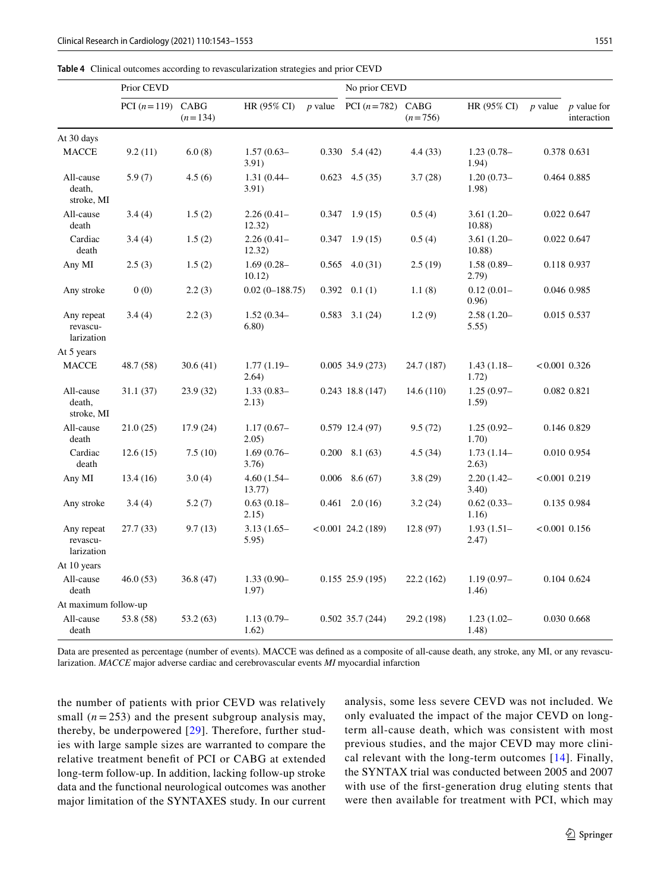<span id="page-8-0"></span>

|                                      | Prior CEVD    |                   |                         |           | No prior CEVD        |            |                         |                 |                                   |
|--------------------------------------|---------------|-------------------|-------------------------|-----------|----------------------|------------|-------------------------|-----------------|-----------------------------------|
|                                      | PCI $(n=119)$ | CABG<br>$(n=134)$ | HR (95% CI)             | $p$ value | PCI $(n=782)$ CABG   | $(n=756)$  | HR (95% CI)             | <i>p</i> value  | <i>p</i> value for<br>interaction |
| At 30 days                           |               |                   |                         |           |                      |            |                         |                 |                                   |
| <b>MACCE</b>                         | 9.2(11)       | 6.0(8)            | $1.57(0.63 -$<br>3.91)  | 0.330     | 5.4(42)              | 4.4(33)    | $1.23(0.78 -$<br>1.94)  |                 | 0.378 0.631                       |
| All-cause<br>death,<br>stroke, MI    | 5.9(7)        | 4.5(6)            | $1.31(0.44 -$<br>3.91)  | 0.623     | 4.5(35)              | 3.7(28)    | $1.20(0.73-$<br>1.98)   |                 | 0.464 0.885                       |
| All-cause<br>death                   | 3.4(4)        | 1.5(2)            | $2.26(0.41 -$<br>12.32) | 0.347     | 1.9(15)              | 0.5(4)     | $3.61(1.20-$<br>10.88)  |                 | 0.022 0.647                       |
| Cardiac<br>death                     | 3.4(4)        | 1.5(2)            | $2.26(0.41 -$<br>12.32) | 0.347     | 1.9(15)              | 0.5(4)     | $3.61(1.20-$<br>10.88   |                 | 0.022 0.647                       |
| Any MI                               | 2.5(3)        | 1.5(2)            | $1.69(0.28 -$<br>10.12) | 0.565     | 4.0(31)              | 2.5(19)    | $1.58(0.89 -$<br>(2.79) |                 | 0.118 0.937                       |
| Any stroke                           | 0(0)          | 2.2(3)            | $0.02(0-188.75)$        | 0.392     | 0.1(1)               | 1.1(8)     | $0.12(0.01 -$<br>0.96)  |                 | 0.046 0.985                       |
| Any repeat<br>revascu-<br>larization | 3.4(4)        | 2.2(3)            | $1.52(0.34 -$<br>6.80)  | 0.583     | 3.1(24)              | 1.2(9)     | $2.58(1.20-$<br>5.55)   |                 | 0.015 0.537                       |
| At 5 years                           |               |                   |                         |           |                      |            |                         |                 |                                   |
| <b>MACCE</b>                         | 48.7 (58)     | 30.6(41)          | $1.77(1.19-$<br>2.64)   |           | $0.005$ 34.9 (273)   | 24.7 (187) | $1.43(1.18-$<br>1.72)   | $<0.001$ 0.326  |                                   |
| All-cause<br>death,<br>stroke, MI    | 31.1(37)      | 23.9 (32)         | $1.33(0.83-$<br>2.13)   |           | $0.243$ 18.8 (147)   | 14.6 (110) | $1.25(0.97 -$<br>1.59)  |                 | 0.082 0.821                       |
| All-cause<br>death                   | 21.0(25)      | 17.9(24)          | $1.17(0.67-$<br>2.05)   |           | $0.579$ 12.4 (97)    | 9.5(72)    | $1.25(0.92 -$<br>1.70)  |                 | 0.146 0.829                       |
| Cardiac<br>death                     | 12.6(15)      | 7.5(10)           | $1.69(0.76-$<br>3.76)   | 0.200     | 8.1 (63)             | 4.5(34)    | $1.73(1.14-$<br>2.63)   |                 | 0.010 0.954                       |
| Any MI                               | 13.4(16)      | 3.0(4)            | $4.60(1.54 -$<br>13.77) | 0.006     | 8.6(67)              | 3.8(29)    | $2.20(1.42 -$<br>3.40)  | $<0.001$ 0.219  |                                   |
| Any stroke                           | 3.4(4)        | 5.2(7)            | $0.63(0.18-$<br>2.15)   | 0.461     | 2.0(16)              | 3.2(24)    | $0.62(0.33 -$<br>1.16)  |                 | 0.135 0.984                       |
| Any repeat<br>revascu-<br>larization | 27.7 (33)     | 9.7(13)           | $3.13(1.65 -$<br>5.95)  |           | $< 0.001$ 24.2 (189) | 12.8(97)   | $1.93(1.51-$<br>2.47)   | $< 0.001$ 0.156 |                                   |
| At 10 years                          |               |                   |                         |           |                      |            |                         |                 |                                   |
| All-cause<br>death                   | 46.0(53)      | 36.8(47)          | $1.33(0.90-$<br>1.97)   |           | $0.155$ 25.9 (195)   | 22.2(162)  | $1.19(0.97 -$<br>1.46)  |                 | 0.104 0.624                       |
| At maximum follow-up                 |               |                   |                         |           |                      |            |                         |                 |                                   |
| All-cause<br>death                   | 53.8 (58)     | 53.2 (63)         | $1.13(0.79-$<br>1.62)   |           | $0.502$ 35.7 (244)   | 29.2 (198) | $1.23(1.02 -$<br>1.48)  |                 | 0.030 0.668                       |

Data are presented as percentage (number of events). MACCE was defned as a composite of all-cause death, any stroke, any MI, or any revascularization. *MACCE* major adverse cardiac and cerebrovascular events *MI* myocardial infarction

the number of patients with prior CEVD was relatively small  $(n = 253)$  and the present subgroup analysis may, thereby, be underpowered [[29\]](#page-10-14). Therefore, further studies with large sample sizes are warranted to compare the relative treatment beneft of PCI or CABG at extended long-term follow-up. In addition, lacking follow-up stroke data and the functional neurological outcomes was another major limitation of the SYNTAXES study. In our current analysis, some less severe CEVD was not included. We only evaluated the impact of the major CEVD on longterm all-cause death, which was consistent with most previous studies, and the major CEVD may more clinical relevant with the long-term outcomes [[14](#page-10-1)]. Finally, the SYNTAX trial was conducted between 2005 and 2007 with use of the frst-generation drug eluting stents that were then available for treatment with PCI, which may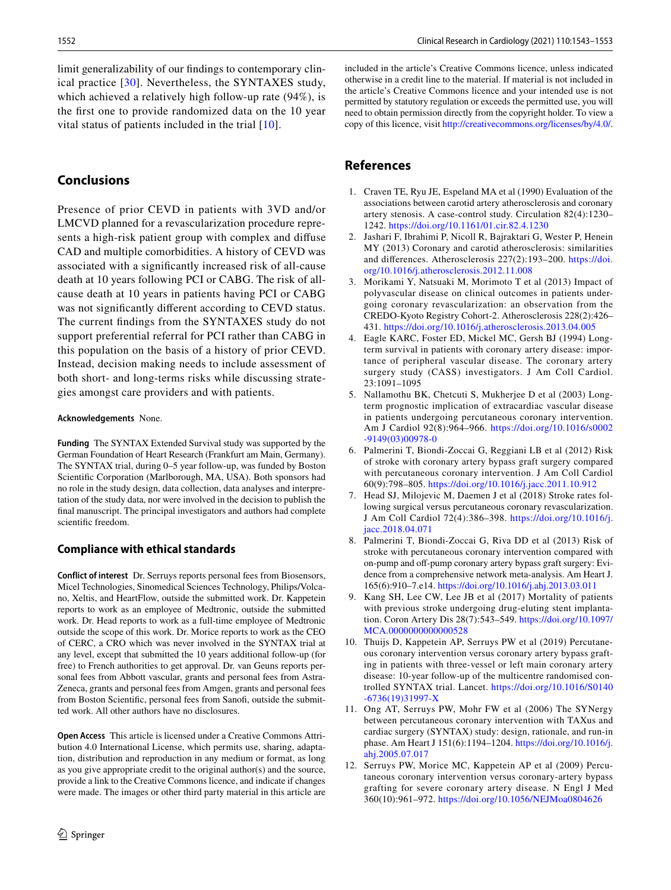limit generalizability of our fndings to contemporary clinical practice [\[30\]](#page-10-15). Nevertheless, the SYNTAXES study, which achieved a relatively high follow-up rate (94%), is the frst one to provide randomized data on the 10 year vital status of patients included in the trial  $[10]$ .

# **Conclusions**

Presence of prior CEVD in patients with 3VD and/or LMCVD planned for a revascularization procedure represents a high-risk patient group with complex and difuse CAD and multiple comorbidities. A history of CEVD was associated with a signifcantly increased risk of all-cause death at 10 years following PCI or CABG. The risk of allcause death at 10 years in patients having PCI or CABG was not signifcantly diferent according to CEVD status. The current fndings from the SYNTAXES study do not support preferential referral for PCI rather than CABG in this population on the basis of a history of prior CEVD. Instead, decision making needs to include assessment of both short- and long-terms risks while discussing strategies amongst care providers and with patients.

#### **Acknowledgements** None.

**Funding** The SYNTAX Extended Survival study was supported by the German Foundation of Heart Research (Frankfurt am Main, Germany). The SYNTAX trial, during 0–5 year follow-up, was funded by Boston Scientific Corporation (Marlborough, MA, USA). Both sponsors had no role in the study design, data collection, data analyses and interpretation of the study data, nor were involved in the decision to publish the fnal manuscript. The principal investigators and authors had complete scientifc freedom.

#### **Compliance with ethical standards**

**Conflict of interest** Dr. Serruys reports personal fees from Biosensors, Micel Technologies, Sinomedical Sciences Technology, Philips/Volcano, Xeltis, and HeartFlow, outside the submitted work. Dr. Kappetein reports to work as an employee of Medtronic, outside the submitted work. Dr. Head reports to work as a full-time employee of Medtronic outside the scope of this work. Dr. Morice reports to work as the CEO of CERC, a CRO which was never involved in the SYNTAX trial at any level, except that submitted the 10 years additional follow-up (for free) to French authorities to get approval. Dr. van Geuns reports personal fees from Abbott vascular, grants and personal fees from Astra-Zeneca, grants and personal fees from Amgen, grants and personal fees from Boston Scientifc, personal fees from Sanof, outside the submitted work. All other authors have no disclosures.

**Open Access** This article is licensed under a Creative Commons Attribution 4.0 International License, which permits use, sharing, adaptation, distribution and reproduction in any medium or format, as long as you give appropriate credit to the original author(s) and the source, provide a link to the Creative Commons licence, and indicate if changes were made. The images or other third party material in this article are included in the article's Creative Commons licence, unless indicated otherwise in a credit line to the material. If material is not included in the article's Creative Commons licence and your intended use is not permitted by statutory regulation or exceeds the permitted use, you will need to obtain permission directly from the copyright holder. To view a copy of this licence, visit<http://creativecommons.org/licenses/by/4.0/>.

# **References**

- <span id="page-9-0"></span>1. Craven TE, Ryu JE, Espeland MA et al (1990) Evaluation of the associations between carotid artery atherosclerosis and coronary artery stenosis. A case-control study. Circulation 82(4):1230– 1242.<https://doi.org/10.1161/01.cir.82.4.1230>
- <span id="page-9-1"></span>2. Jashari F, Ibrahimi P, Nicoll R, Bajraktari G, Wester P, Henein MY (2013) Coronary and carotid atherosclerosis: similarities and diferences. Atherosclerosis 227(2):193–200. [https://doi.](https://doi.org/10.1016/j.atherosclerosis.2012.11.008) [org/10.1016/j.atherosclerosis.2012.11.008](https://doi.org/10.1016/j.atherosclerosis.2012.11.008)
- <span id="page-9-2"></span>3. Morikami Y, Natsuaki M, Morimoto T et al (2013) Impact of polyvascular disease on clinical outcomes in patients undergoing coronary revascularization: an observation from the CREDO-Kyoto Registry Cohort-2. Atherosclerosis 228(2):426– 431. <https://doi.org/10.1016/j.atherosclerosis.2013.04.005>
- 4. Eagle KARC, Foster ED, Mickel MC, Gersh BJ (1994) Longterm survival in patients with coronary artery disease: importance of peripheral vascular disease. The coronary artery surgery study (CASS) investigators. J Am Coll Cardiol. 23:1091–1095
- <span id="page-9-3"></span>5. Nallamothu BK, Chetcuti S, Mukherjee D et al (2003) Longterm prognostic implication of extracardiac vascular disease in patients undergoing percutaneous coronary intervention. Am J Cardiol 92(8):964–966. [https://doi.org/10.1016/s0002](https://doi.org/10.1016/s0002-9149(03)00978-0) [-9149\(03\)00978-0](https://doi.org/10.1016/s0002-9149(03)00978-0)
- <span id="page-9-4"></span>6. Palmerini T, Biondi-Zoccai G, Reggiani LB et al (2012) Risk of stroke with coronary artery bypass graft surgery compared with percutaneous coronary intervention. J Am Coll Cardiol 60(9):798–805.<https://doi.org/10.1016/j.jacc.2011.10.912>
- <span id="page-9-9"></span>7. Head SJ, Milojevic M, Daemen J et al (2018) Stroke rates following surgical versus percutaneous coronary revascularization. J Am Coll Cardiol 72(4):386–398. [https://doi.org/10.1016/j.](https://doi.org/10.1016/j.jacc.2018.04.071) [jacc.2018.04.071](https://doi.org/10.1016/j.jacc.2018.04.071)
- <span id="page-9-5"></span>8. Palmerini T, Biondi-Zoccai G, Riva DD et al (2013) Risk of stroke with percutaneous coronary intervention compared with on-pump and off-pump coronary artery bypass graft surgery: Evidence from a comprehensive network meta-analysis. Am Heart J. 165(6):910–7.e14. <https://doi.org/10.1016/j.ahj.2013.03.011>
- <span id="page-9-6"></span>9. Kang SH, Lee CW, Lee JB et al (2017) Mortality of patients with previous stroke undergoing drug-eluting stent implantation. Coron Artery Dis 28(7):543–549. [https://doi.org/10.1097/](https://doi.org/10.1097/MCA.0000000000000528) [MCA.0000000000000528](https://doi.org/10.1097/MCA.0000000000000528)
- <span id="page-9-7"></span>10. Thuijs D, Kappetein AP, Serruys PW et al (2019) Percutaneous coronary intervention versus coronary artery bypass grafting in patients with three-vessel or left main coronary artery disease: 10-year follow-up of the multicentre randomised controlled SYNTAX trial. Lancet. [https://doi.org/10.1016/S0140](https://doi.org/10.1016/S0140-6736(19)31997-X) [-6736\(19\)31997-X](https://doi.org/10.1016/S0140-6736(19)31997-X)
- <span id="page-9-8"></span>11. Ong AT, Serruys PW, Mohr FW et al (2006) The SYNergy between percutaneous coronary intervention with TAXus and cardiac surgery (SYNTAX) study: design, rationale, and run-in phase. Am Heart J 151(6):1194–1204. [https://doi.org/10.1016/j.](https://doi.org/10.1016/j.ahj.2005.07.017) [ahj.2005.07.017](https://doi.org/10.1016/j.ahj.2005.07.017)
- 12. Serruys PW, Morice MC, Kappetein AP et al (2009) Percutaneous coronary intervention versus coronary-artery bypass grafting for severe coronary artery disease. N Engl J Med 360(10):961–972.<https://doi.org/10.1056/NEJMoa0804626>